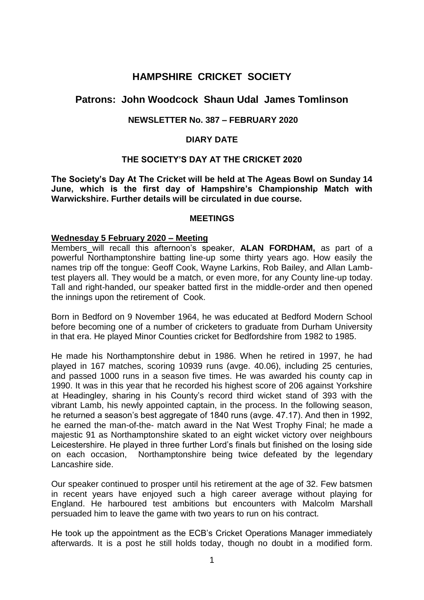# **HAMPSHIRE CRICKET SOCIETY**

# **Patrons: John Woodcock Shaun Udal James Tomlinson**

# **NEWSLETTER No. 387 – FEBRUARY 2020**

## **DIARY DATE**

#### **THE SOCIETY'S DAY AT THE CRICKET 2020**

**The Society's Day At The Cricket will be held at The Ageas Bowl on Sunday 14 June, which is the first day of Hampshire's Championship Match with Warwickshire. Further details will be circulated in due course.** 

#### **MEETINGS**

#### **Wednesday 5 February 2020 – Meeting**

Members will recall this afternoon's speaker, **ALAN FORDHAM,** as part of a powerful Northamptonshire batting line-up some thirty years ago. How easily the names trip off the tongue: Geoff Cook, Wayne Larkins, Rob Bailey, and Allan Lambtest players all. They would be a match, or even more, for any County line-up today. Tall and right-handed, our speaker batted first in the middle-order and then opened the innings upon the retirement of Cook.

Born in Bedford on 9 November 1964, he was educated at Bedford Modern School before becoming one of a number of cricketers to graduate from Durham University in that era. He played Minor Counties cricket for Bedfordshire from 1982 to 1985.

He made his Northamptonshire debut in 1986. When he retired in 1997, he had played in 167 matches, scoring 10939 runs (avge. 40.06), including 25 centuries, and passed 1000 runs in a season five times. He was awarded his county cap in 1990. It was in this year that he recorded his highest score of 206 against Yorkshire at Headingley, sharing in his County's record third wicket stand of 393 with the vibrant Lamb, his newly appointed captain, in the process. In the following season, he returned a season's best aggregate of 1840 runs (avge. 47.17). And then in 1992, he earned the man-of-the- match award in the Nat West Trophy Final; he made a majestic 91 as Northamptonshire skated to an eight wicket victory over neighbours Leicestershire. He played in three further Lord's finals but finished on the losing side on each occasion, Northamptonshire being twice defeated by the legendary Lancashire side.

Our speaker continued to prosper until his retirement at the age of 32. Few batsmen in recent years have enjoyed such a high career average without playing for England. He harboured test ambitions but encounters with Malcolm Marshall persuaded him to leave the game with two years to run on his contract.

He took up the appointment as the ECB's Cricket Operations Manager immediately afterwards. It is a post he still holds today, though no doubt in a modified form.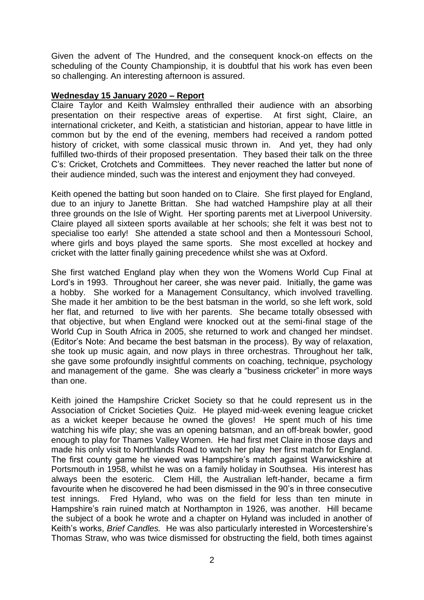Given the advent of The Hundred, and the consequent knock-on effects on the scheduling of the County Championship, it is doubtful that his work has even been so challenging. An interesting afternoon is assured.

## **Wednesday 15 January 2020 – Report**

Claire Taylor and Keith Walmsley enthralled their audience with an absorbing presentation on their respective areas of expertise. At first sight, Claire, an international cricketer, and Keith, a statistician and historian, appear to have little in common but by the end of the evening, members had received a random potted history of cricket, with some classical music thrown in. And yet, they had only fulfilled two-thirds of their proposed presentation. They based their talk on the three C's: Cricket, Crotchets and Committees. They never reached the latter but none of their audience minded, such was the interest and enjoyment they had conveyed.

Keith opened the batting but soon handed on to Claire. She first played for England, due to an injury to Janette Brittan. She had watched Hampshire play at all their three grounds on the Isle of Wight. Her sporting parents met at Liverpool University. Claire played all sixteen sports available at her schools; she felt it was best not to specialise too early! She attended a state school and then a Montessouri School, where girls and boys played the same sports. She most excelled at hockey and cricket with the latter finally gaining precedence whilst she was at Oxford.

She first watched England play when they won the Womens World Cup Final at Lord's in 1993. Throughout her career, she was never paid. Initially, the game was a hobby. She worked for a Management Consultancy, which involved travelling. She made it her ambition to be the best batsman in the world, so she left work, sold her flat, and returned to live with her parents. She became totally obsessed with that objective, but when England were knocked out at the semi-final stage of the World Cup in South Africa in 2005, she returned to work and changed her mindset. (Editor's Note: And became the best batsman in the process). By way of relaxation, she took up music again, and now plays in three orchestras. Throughout her talk, she gave some profoundly insightful comments on coaching, technique, psychology and management of the game. She was clearly a "business cricketer" in more ways than one.

Keith joined the Hampshire Cricket Society so that he could represent us in the Association of Cricket Societies Quiz. He played mid-week evening league cricket as a wicket keeper because he owned the gloves! He spent much of his time watching his wife play; she was an opening batsman, and an off-break bowler, good enough to play for Thames Valley Women. He had first met Claire in those days and made his only visit to Northlands Road to watch her play her first match for England. The first county game he viewed was Hampshire's match against Warwickshire at Portsmouth in 1958, whilst he was on a family holiday in Southsea. His interest has always been the esoteric. Clem Hill, the Australian left-hander, became a firm favourite when he discovered he had been dismissed in the 90's in three consecutive test innings. Fred Hyland, who was on the field for less than ten minute in Hampshire's rain ruined match at Northampton in 1926, was another. Hill became the subject of a book he wrote and a chapter on Hyland was included in another of Keith's works, *Brief Candles.* He was also particularly interested in Worcestershire's Thomas Straw, who was twice dismissed for obstructing the field, both times against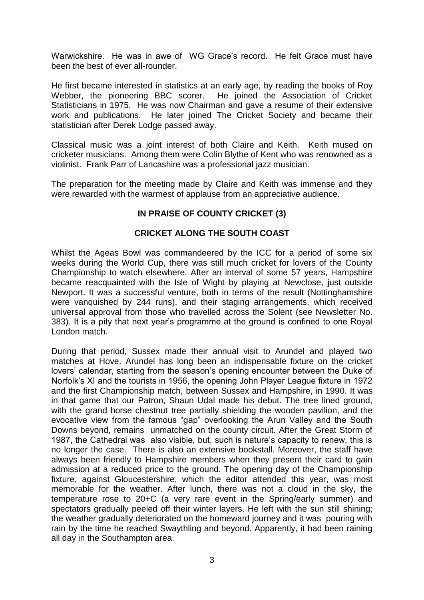Warwickshire. He was in awe of WG Grace's record. He felt Grace must have been the best of ever all-rounder.

He first became interested in statistics at an early age, by reading the books of Roy Webber, the pioneering BBC scorer. He joined the Association of Cricket Statisticians in 1975. He was now Chairman and gave a resume of their extensive work and publications. He later joined The Cricket Society and became their statistician after Derek Lodge passed away.

Classical music was a joint interest of both Claire and Keith. Keith mused on cricketer musicians. Among them were Colin Blythe of Kent who was renowned as a violinist. Frank Parr of Lancashire was a professional jazz musician.

The preparation for the meeting made by Claire and Keith was immense and they were rewarded with the warmest of applause from an appreciative audience.

# **IN PRAISE OF COUNTY CRICKET (3)**

## **CRICKET ALONG THE SOUTH COAST**

Whilst the Ageas Bowl was commandeered by the ICC for a period of some six weeks during the World Cup, there was still much cricket for lovers of the County Championship to watch elsewhere. After an interval of some 57 years, Hampshire became reacquainted with the Isle of Wight by playing at Newclose, just outside Newport. It was a successful venture, both in terms of the result (Nottinghamshire were vanquished by 244 runs), and their staging arrangements, which received universal approval from those who travelled across the Solent (see Newsletter No. 383). It is a pity that next year's programme at the ground is confined to one Royal London match.

During that period, Sussex made their annual visit to Arundel and played two matches at Hove. Arundel has long been an indispensable fixture on the cricket lovers' calendar, starting from the season's opening encounter between the Duke of Norfolk's XI and the tourists in 1956, the opening John Player League fixture in 1972 and the first Championship match, between Sussex and Hampshire, in 1990. It was in that game that our Patron, Shaun Udal made his debut. The tree lined ground, with the grand horse chestnut tree partially shielding the wooden pavilion, and the evocative view from the famous "gap" overlooking the Arun Valley and the South Downs beyond, remains unmatched on the county circuit. After the Great Storm of 1987, the Cathedral was also visible, but, such is nature's capacity to renew, this is no longer the case. There is also an extensive bookstall. Moreover, the staff have always been friendly to Hampshire members when they present their card to gain admission at a reduced price to the ground. The opening day of the Championship fixture, against Gloucestershire, which the editor attended this year, was most memorable for the weather. After lunch, there was not a cloud in the sky, the temperature rose to 20+C (a very rare event in the Spring/early summer) and spectators gradually peeled off their winter layers. He left with the sun still shining; the weather gradually deteriorated on the homeward journey and it was pouring with rain by the time he reached Swaythling and beyond. Apparently, it had been raining all day in the Southampton area.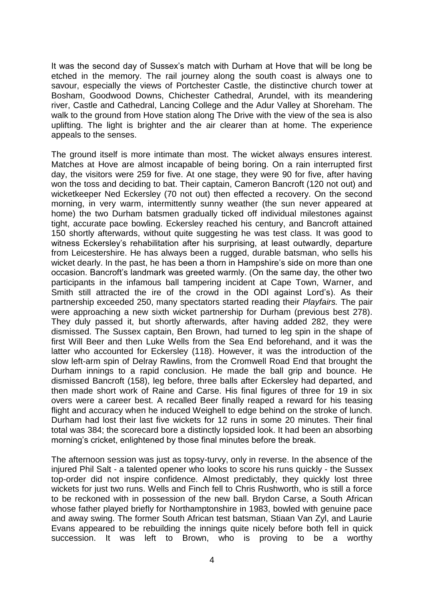It was the second day of Sussex's match with Durham at Hove that will be long be etched in the memory. The rail journey along the south coast is always one to savour, especially the views of Portchester Castle, the distinctive church tower at Bosham, Goodwood Downs, Chichester Cathedral, Arundel, with its meandering river, Castle and Cathedral, Lancing College and the Adur Valley at Shoreham. The walk to the ground from Hove station along The Drive with the view of the sea is also uplifting. The light is brighter and the air clearer than at home. The experience appeals to the senses.

The ground itself is more intimate than most. The wicket always ensures interest. Matches at Hove are almost incapable of being boring. On a rain interrupted first day, the visitors were 259 for five. At one stage, they were 90 for five, after having won the toss and deciding to bat. Their captain, Cameron Bancroft (120 not out) and wicketkeeper Ned Eckersley (70 not out) then effected a recovery. On the second morning, in very warm, intermittently sunny weather (the sun never appeared at home) the two Durham batsmen gradually ticked off individual milestones against tight, accurate pace bowling. Eckersley reached his century, and Bancroft attained 150 shortly afterwards, without quite suggesting he was test class. It was good to witness Eckersley's rehabilitation after his surprising, at least outwardly, departure from Leicestershire. He has always been a rugged, durable batsman, who sells his wicket dearly. In the past, he has been a thorn in Hampshire's side on more than one occasion. Bancroft's landmark was greeted warmly. (On the same day, the other two participants in the infamous ball tampering incident at Cape Town, Warner, and Smith still attracted the ire of the crowd in the ODI against Lord's). As their partnership exceeded 250, many spectators started reading their *Playfairs.* The pair were approaching a new sixth wicket partnership for Durham (previous best 278). They duly passed it, but shortly afterwards, after having added 282, they were dismissed. The Sussex captain, Ben Brown, had turned to leg spin in the shape of first Will Beer and then Luke Wells from the Sea End beforehand, and it was the latter who accounted for Eckersley (118). However, it was the introduction of the slow left-arm spin of Delray Rawlins, from the Cromwell Road End that brought the Durham innings to a rapid conclusion. He made the ball grip and bounce. He dismissed Bancroft (158), leg before, three balls after Eckersley had departed, and then made short work of Raine and Carse. His final figures of three for 19 in six overs were a career best. A recalled Beer finally reaped a reward for his teasing flight and accuracy when he induced Weighell to edge behind on the stroke of lunch. Durham had lost their last five wickets for 12 runs in some 20 minutes. Their final total was 384; the scorecard bore a distinctly lopsided look. It had been an absorbing morning's cricket, enlightened by those final minutes before the break.

The afternoon session was just as topsy-turvy, only in reverse. In the absence of the injured Phil Salt - a talented opener who looks to score his runs quickly - the Sussex top-order did not inspire confidence. Almost predictably, they quickly lost three wickets for just two runs. Wells and Finch fell to Chris Rushworth, who is still a force to be reckoned with in possession of the new ball. Brydon Carse, a South African whose father played briefly for Northamptonshire in 1983, bowled with genuine pace and away swing. The former South African test batsman, Stiaan Van Zyl, and Laurie Evans appeared to be rebuilding the innings quite nicely before both fell in quick succession. It was left to Brown, who is proving to be a worthy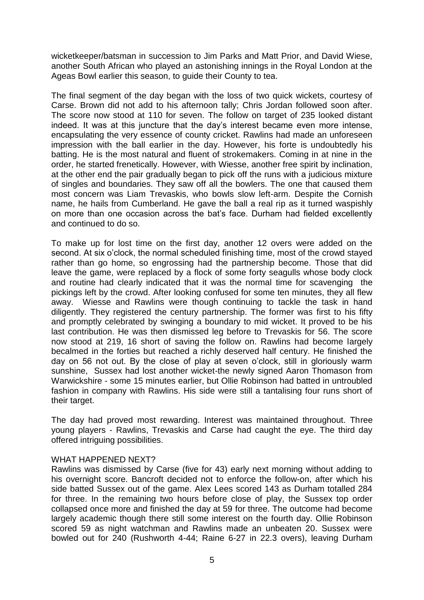wicketkeeper/batsman in succession to Jim Parks and Matt Prior, and David Wiese, another South African who played an astonishing innings in the Royal London at the Ageas Bowl earlier this season, to guide their County to tea.

The final segment of the day began with the loss of two quick wickets, courtesy of Carse. Brown did not add to his afternoon tally; Chris Jordan followed soon after. The score now stood at 110 for seven. The follow on target of 235 looked distant indeed. It was at this juncture that the day's interest became even more intense, encapsulating the very essence of county cricket. Rawlins had made an unforeseen impression with the ball earlier in the day. However, his forte is undoubtedly his batting. He is the most natural and fluent of strokemakers. Coming in at nine in the order, he started frenetically. However, with Wiesse, another free spirit by inclination, at the other end the pair gradually began to pick off the runs with a judicious mixture of singles and boundaries. They saw off all the bowlers. The one that caused them most concern was Liam Trevaskis, who bowls slow left-arm. Despite the Cornish name, he hails from Cumberland. He gave the ball a real rip as it turned waspishly on more than one occasion across the bat's face. Durham had fielded excellently and continued to do so.

To make up for lost time on the first day, another 12 overs were added on the second. At six o'clock, the normal scheduled finishing time, most of the crowd stayed rather than go home, so engrossing had the partnership become. Those that did leave the game, were replaced by a flock of some forty seagulls whose body clock and routine had clearly indicated that it was the normal time for scavenging the pickings left by the crowd. After looking confused for some ten minutes, they all flew away. Wiesse and Rawlins were though continuing to tackle the task in hand diligently. They registered the century partnership. The former was first to his fifty and promptly celebrated by swinging a boundary to mid wicket. It proved to be his last contribution. He was then dismissed leg before to Trevaskis for 56. The score now stood at 219, 16 short of saving the follow on. Rawlins had become largely becalmed in the forties but reached a richly deserved half century. He finished the day on 56 not out. By the close of play at seven o'clock, still in gloriously warm sunshine, Sussex had lost another wicket-the newly signed Aaron Thomason from Warwickshire - some 15 minutes earlier, but Ollie Robinson had batted in untroubled fashion in company with Rawlins. His side were still a tantalising four runs short of their target.

The day had proved most rewarding. Interest was maintained throughout. Three young players - Rawlins, Trevaskis and Carse had caught the eye. The third day offered intriguing possibilities.

#### WHAT HAPPENED NEXT?

Rawlins was dismissed by Carse (five for 43) early next morning without adding to his overnight score. Bancroft decided not to enforce the follow-on, after which his side batted Sussex out of the game. Alex Lees scored 143 as Durham totalled 284 for three. In the remaining two hours before close of play, the Sussex top order collapsed once more and finished the day at 59 for three. The outcome had become largely academic though there still some interest on the fourth day. Ollie Robinson scored 59 as night watchman and Rawlins made an unbeaten 20. Sussex were bowled out for 240 (Rushworth 4-44; Raine 6-27 in 22.3 overs), leaving Durham